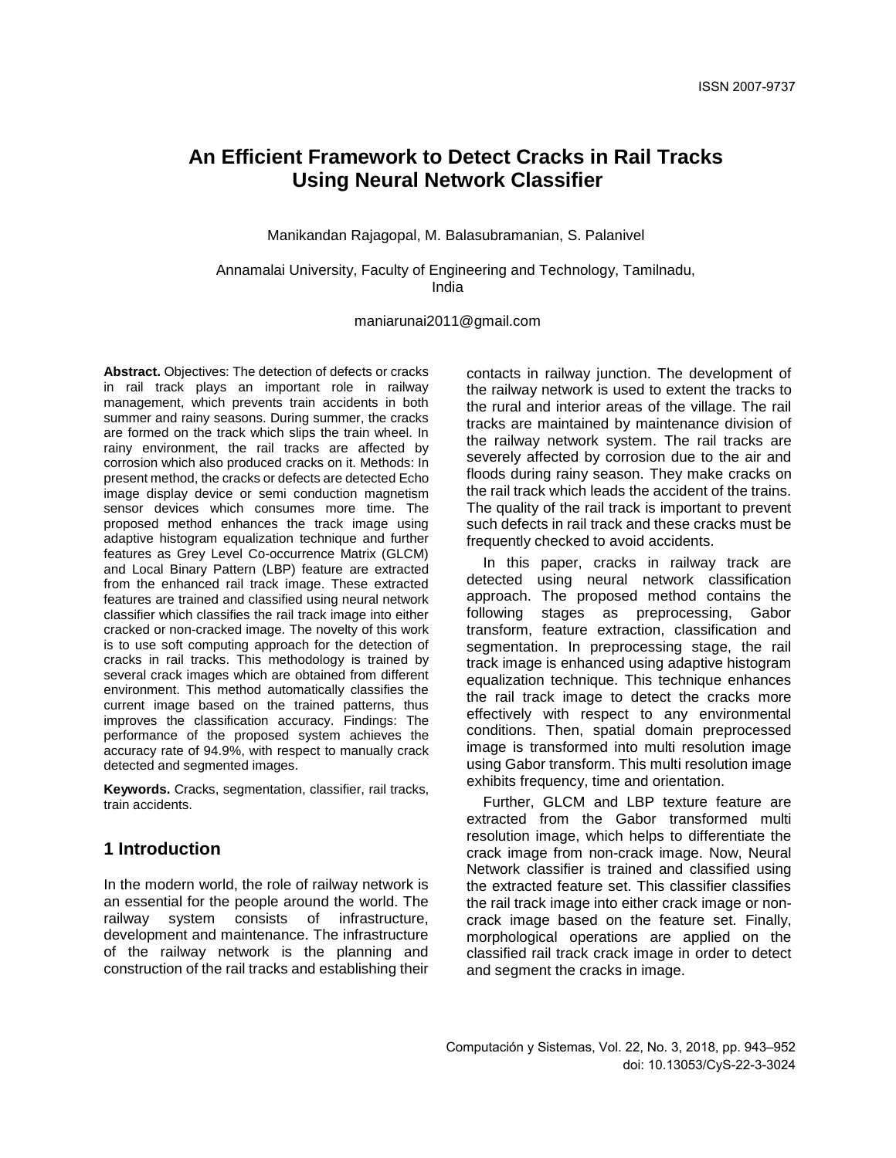# **An Efficient Framework to Detect Cracks in Rail Tracks Using Neural Network Classifier**

Manikandan Rajagopal, M. Balasubramanian, S. Palanivel

Annamalai University, Faculty of Engineering and Technology, Tamilnadu, India

[maniarunai2011@gmail.com](mailto:maniarunai2011@gmail.com)

**Abstract.** Objectives: The detection of defects or cracks in rail track plays an important role in railway management, which prevents train accidents in both summer and rainy seasons. During summer, the cracks are formed on the track which slips the train wheel. In rainy environment, the rail tracks are affected by corrosion which also produced cracks on it. Methods: In present method, the cracks or defects are detected Echo image display device or semi conduction magnetism sensor devices which consumes more time. The proposed method enhances the track image using adaptive histogram equalization technique and further features as Grey Level Co-occurrence Matrix (GLCM) and Local Binary Pattern (LBP) feature are extracted from the enhanced rail track image. These extracted features are trained and classified using neural network classifier which classifies the rail track image into either cracked or non-cracked image. The novelty of this work is to use soft computing approach for the detection of cracks in rail tracks. This methodology is trained by several crack images which are obtained from different environment. This method automatically classifies the current image based on the trained patterns, thus improves the classification accuracy. Findings: The performance of the proposed system achieves the accuracy rate of 94.9%, with respect to manually crack detected and segmented images.

**Keywords.** Cracks, segmentation, classifier, rail tracks, train accidents.

## **1 Introduction**

In the modern world, the role of railway network is an essential for the people around the world. The railway system consists of infrastructure, development and maintenance. The infrastructure of the railway network is the planning and construction of the rail tracks and establishing their contacts in railway junction. The development of the railway network is used to extent the tracks to the rural and interior areas of the village. The rail tracks are maintained by maintenance division of the railway network system. The rail tracks are severely affected by corrosion due to the air and floods during rainy season. They make cracks on the rail track which leads the accident of the trains. The quality of the rail track is important to prevent such defects in rail track and these cracks must be frequently checked to avoid accidents.

In this paper, cracks in railway track are detected using neural network classification approach. The proposed method contains the following stages as preprocessing, Gabor transform, feature extraction, classification and segmentation. In preprocessing stage, the rail track image is enhanced using adaptive histogram equalization technique. This technique enhances the rail track image to detect the cracks more effectively with respect to any environmental conditions. Then, spatial domain preprocessed image is transformed into multi resolution image using Gabor transform. This multi resolution image exhibits frequency, time and orientation.

Further, GLCM and LBP texture feature are extracted from the Gabor transformed multi resolution image, which helps to differentiate the crack image from non-crack image. Now, Neural Network classifier is trained and classified using the extracted feature set. This classifier classifies the rail track image into either crack image or noncrack image based on the feature set. Finally, morphological operations are applied on the classified rail track crack image in order to detect and segment the cracks in image.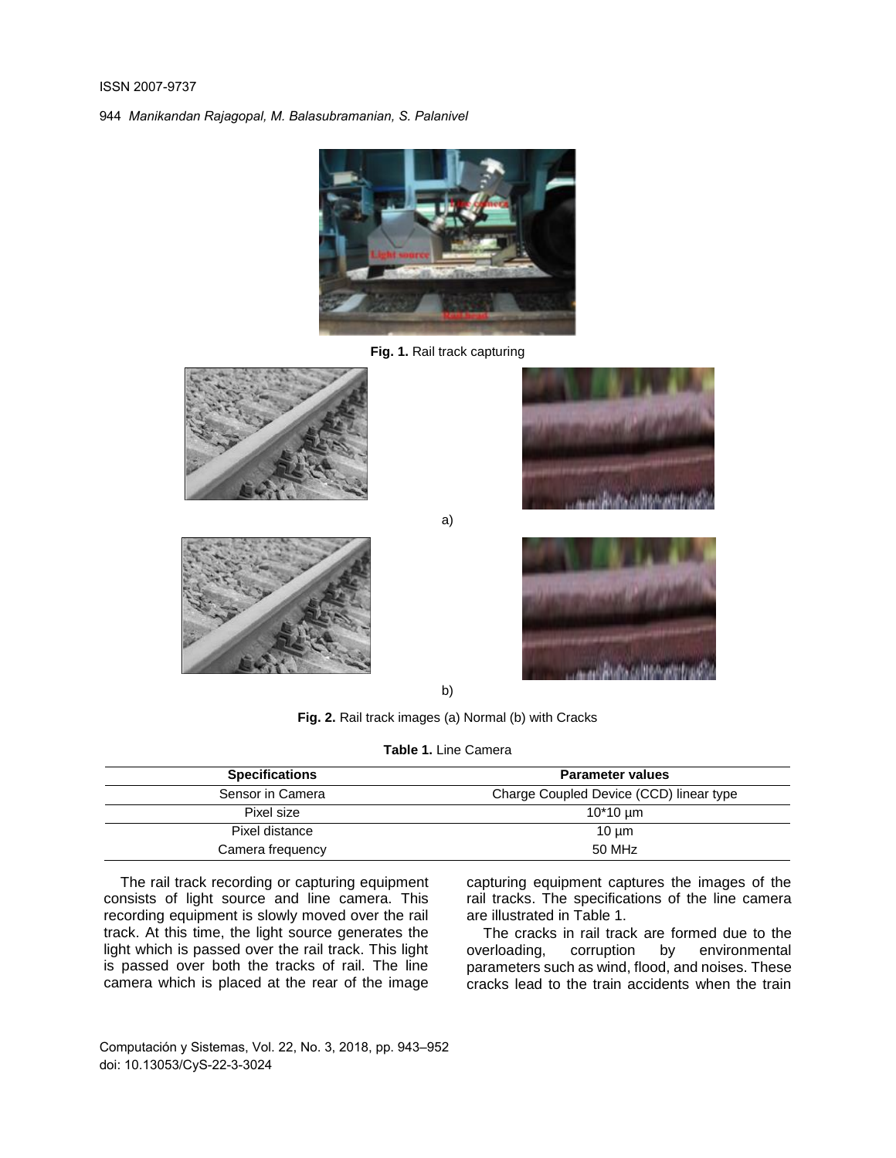

**Fig. 1.** Rail track capturing





a)





b)

**Fig. 2.** Rail track images (a) Normal (b) with Cracks

**Table 1.** Line Camera

| <b>Specifications</b> | <b>Parameter values</b>                 |  |  |
|-----------------------|-----------------------------------------|--|--|
| Sensor in Camera      | Charge Coupled Device (CCD) linear type |  |  |
| Pixel size            | $10*10 \; \text{µm}$                    |  |  |
| Pixel distance        | $10 \mu m$                              |  |  |
| Camera frequency      | 50 MHz                                  |  |  |

The rail track recording or capturing equipment consists of light source and line camera. This recording equipment is slowly moved over the rail track. At this time, the light source generates the light which is passed over the rail track. This light is passed over both the tracks of rail. The line camera which is placed at the rear of the image

capturing equipment captures the images of the rail tracks. The specifications of the line camera are illustrated in Table 1.

The cracks in rail track are formed due to the overloading, corruption by environmental parameters such as wind, flood, and noises. These cracks lead to the train accidents when the train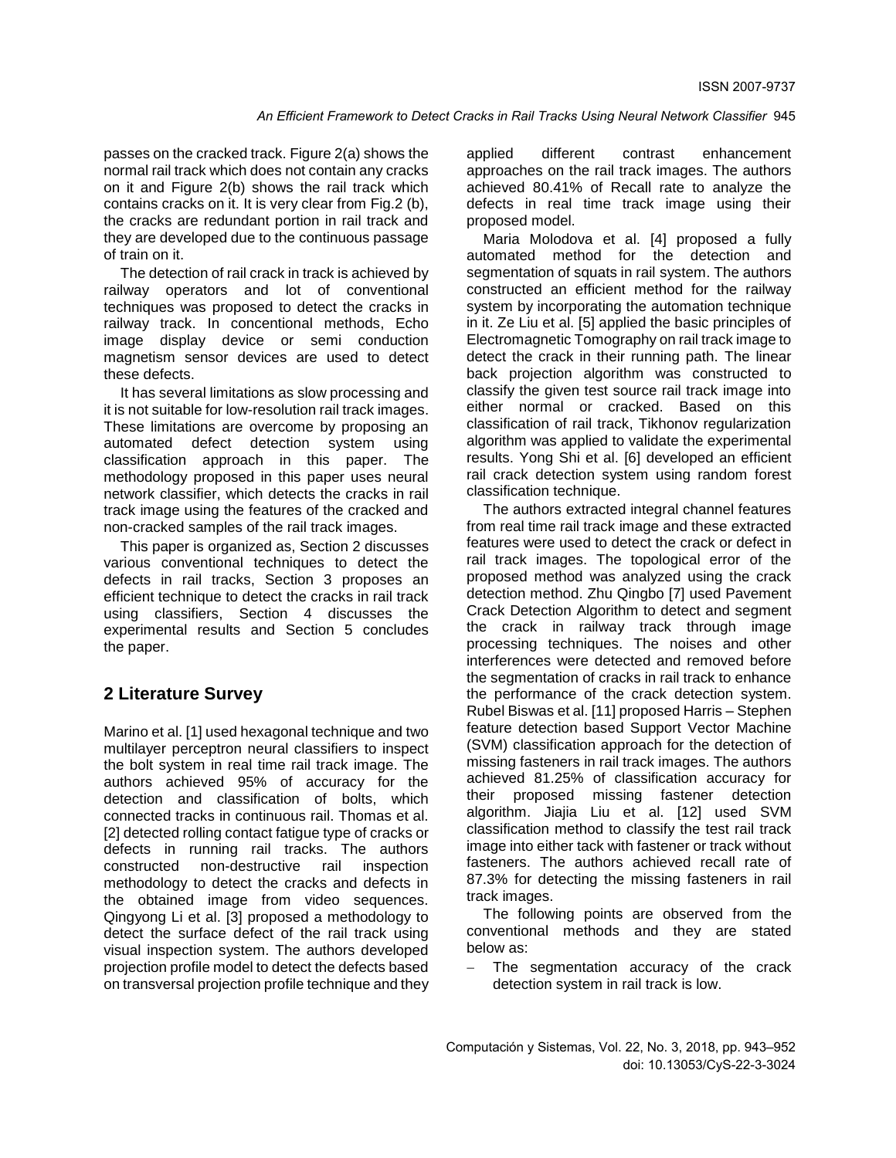passes on the cracked track. Figure 2(a) shows the normal rail track which does not contain any cracks on it and Figure 2(b) shows the rail track which contains cracks on it. It is very clear from Fig.2 (b), the cracks are redundant portion in rail track and they are developed due to the continuous passage of train on it.

The detection of rail crack in track is achieved by railway operators and lot of conventional techniques was proposed to detect the cracks in railway track. In concentional methods, Echo image display device or semi conduction magnetism sensor devices are used to detect these defects.

It has several limitations as slow processing and it is not suitable for low-resolution rail track images. These limitations are overcome by proposing an automated defect detection system using classification approach in this paper. The methodology proposed in this paper uses neural network classifier, which detects the cracks in rail track image using the features of the cracked and non-cracked samples of the rail track images.

This paper is organized as, Section 2 discusses various conventional techniques to detect the defects in rail tracks, Section 3 proposes an efficient technique to detect the cracks in rail track using classifiers, Section 4 discusses the experimental results and Section 5 concludes the paper.

## **2 Literature Survey**

Marino et al. [1] used hexagonal technique and two multilayer perceptron neural classifiers to inspect the bolt system in real time rail track image. The authors achieved 95% of accuracy for the detection and classification of bolts, which connected tracks in continuous rail. Thomas et al. [2] detected rolling contact fatigue type of cracks or defects in running rail tracks. The authors constructed non-destructive rail inspection methodology to detect the cracks and defects in the obtained image from video sequences. Qingyong Li et al. [3] proposed a methodology to detect the surface defect of the rail track using visual inspection system. The authors developed projection profile model to detect the defects based on transversal projection profile technique and they

applied different contrast enhancement approaches on the rail track images. The authors achieved 80.41% of Recall rate to analyze the defects in real time track image using their proposed model.

Maria Molodova et al. [4] proposed a fully automated method for the detection and segmentation of squats in rail system. The authors constructed an efficient method for the railway system by incorporating the automation technique in it. Ze Liu et al. [5] applied the basic principles of Electromagnetic Tomography on rail track image to detect the crack in their running path. The linear back projection algorithm was constructed to classify the given test source rail track image into either normal or cracked. Based on this classification of rail track, Tikhonov regularization algorithm was applied to validate the experimental results. Yong Shi et al. [6] developed an efficient rail crack detection system using random forest classification technique.

The authors extracted integral channel features from real time rail track image and these extracted features were used to detect the crack or defect in rail track images. The topological error of the proposed method was analyzed using the crack detection method. Zhu Qingbo [7] used Pavement Crack Detection Algorithm to detect and segment the crack in railway track through image processing techniques. The noises and other interferences were detected and removed before the segmentation of cracks in rail track to enhance the performance of the crack detection system. Rubel Biswas et al. [11] proposed Harris – Stephen feature detection based Support Vector Machine (SVM) classification approach for the detection of missing fasteners in rail track images. The authors achieved 81.25% of classification accuracy for their proposed missing fastener detection algorithm. Jiajia Liu et al. [12] used SVM classification method to classify the test rail track image into either tack with fastener or track without fasteners. The authors achieved recall rate of 87.3% for detecting the missing fasteners in rail track images.

The following points are observed from the conventional methods and they are stated below as:

- The segmentation accuracy of the crack detection system in rail track is low.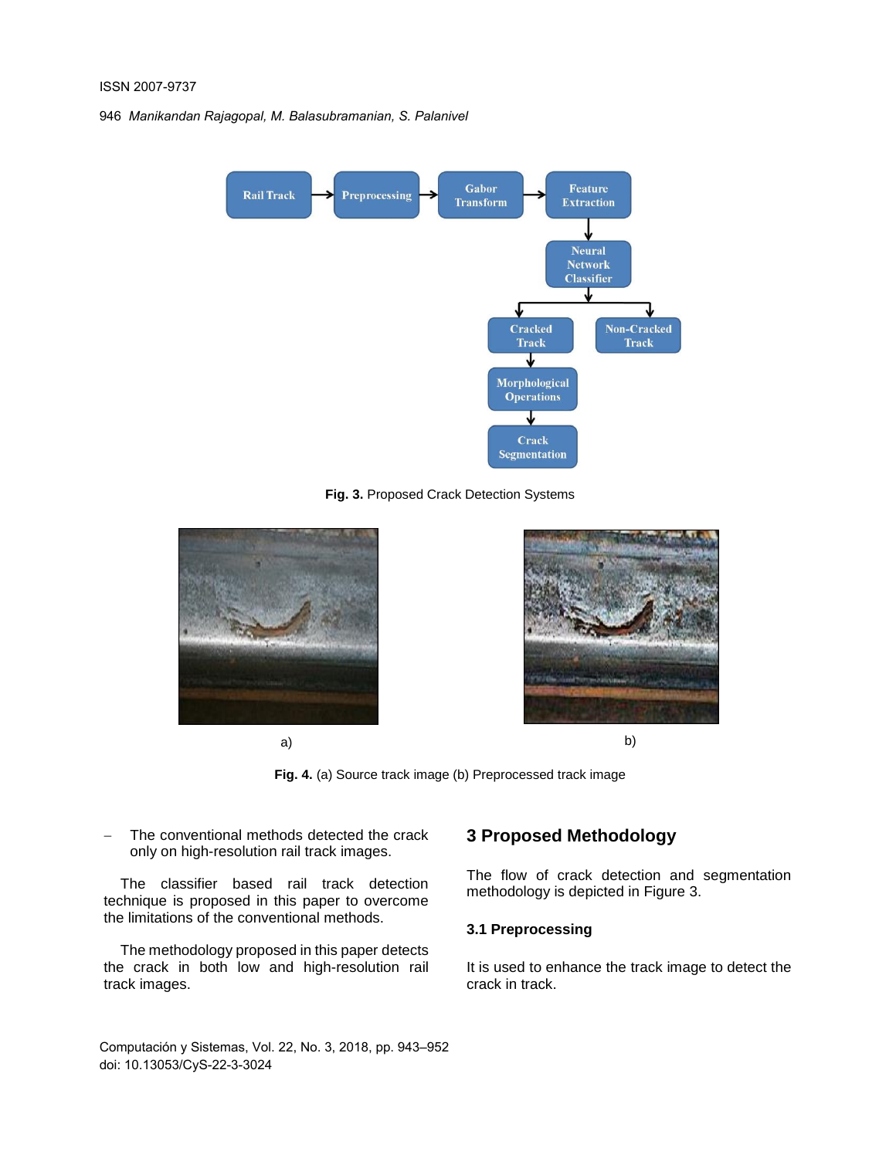

**Fig. 3.** Proposed Crack Detection Systems







**Fig. 4.** (a) Source track image (b) Preprocessed track image

 The conventional methods detected the crack only on high-resolution rail track images.

The classifier based rail track detection technique is proposed in this paper to overcome the limitations of the conventional methods.

The methodology proposed in this paper detects the crack in both low and high-resolution rail track images.

## **3 Proposed Methodology**

The flow of crack detection and segmentation methodology is depicted in Figure 3.

#### **3.1 Preprocessing**

It is used to enhance the track image to detect the crack in track.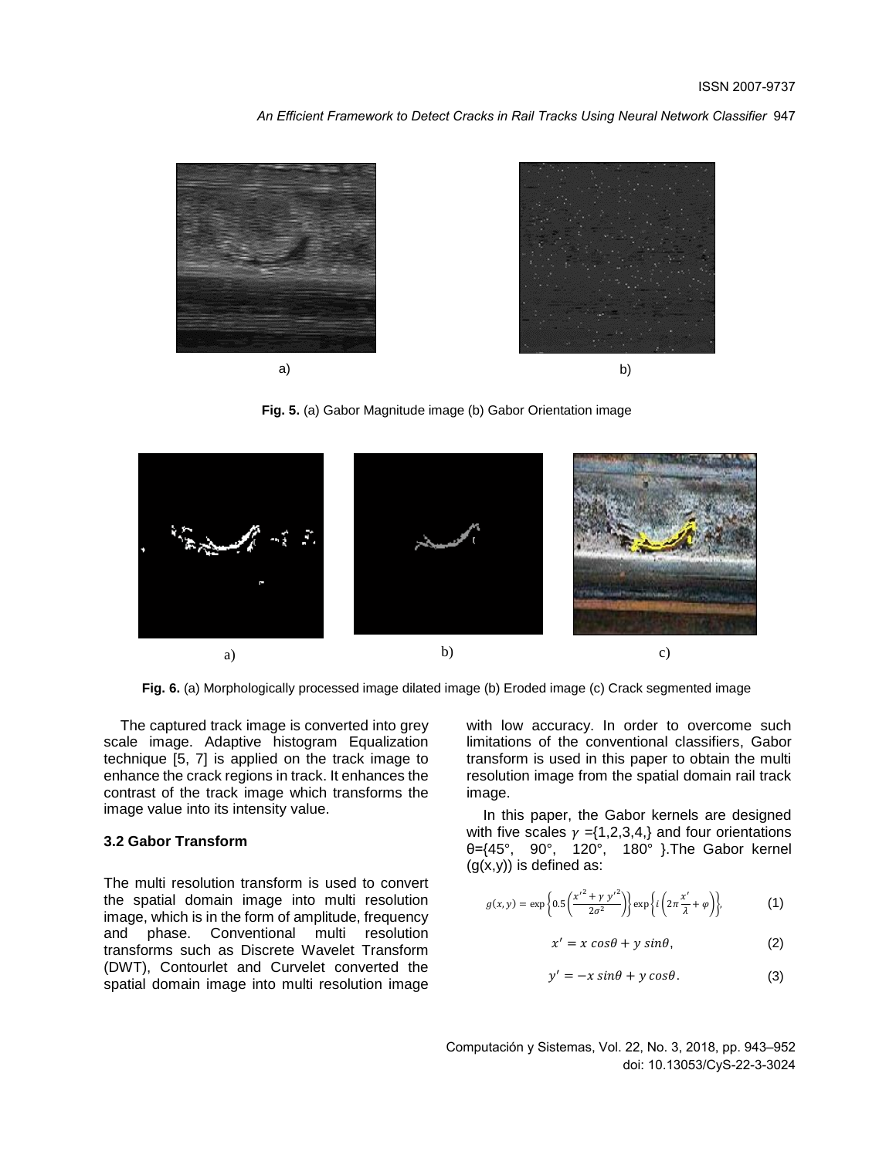*An Efficient Framework to Detect Cracks in Rail Tracks Using Neural Network Classifier* 947



**Fig. 5.** (a) Gabor Magnitude image (b) Gabor Orientation image



**Fig. 6.** (a) Morphologically processed image dilated image (b) Eroded image (c) Crack segmented image

The captured track image is converted into grey scale image. Adaptive histogram Equalization technique [5, 7] is applied on the track image to enhance the crack regions in track. It enhances the contrast of the track image which transforms the image value into its intensity value.

#### **3.2 Gabor Transform**

The multi resolution transform is used to convert the spatial domain image into multi resolution image, which is in the form of amplitude, frequency and phase. Conventional multi resolution transforms such as Discrete Wavelet Transform (DWT), Contourlet and Curvelet converted the spatial domain image into multi resolution image

with low accuracy. In order to overcome such limitations of the conventional classifiers, Gabor transform is used in this paper to obtain the multi resolution image from the spatial domain rail track image.

In this paper, the Gabor kernels are designed with five scales  $\gamma = \{1,2,3,4\}$  and four orientations θ={45°, 90°, 120°, 180° }.The Gabor kernel  $(g(x,y))$  is defined as:

$$
g(x,y) = \exp\left\{0.5\left(\frac{x'^2 + \gamma y'^2}{2\sigma^2}\right)\right\} \exp\left\{i\left(2\pi\frac{x'}{\lambda} + \varphi\right)\right\},\tag{1}
$$

$$
x' = x \cos\theta + y \sin\theta, \tag{2}
$$

$$
y' = -x \sin\theta + y \cos\theta. \tag{3}
$$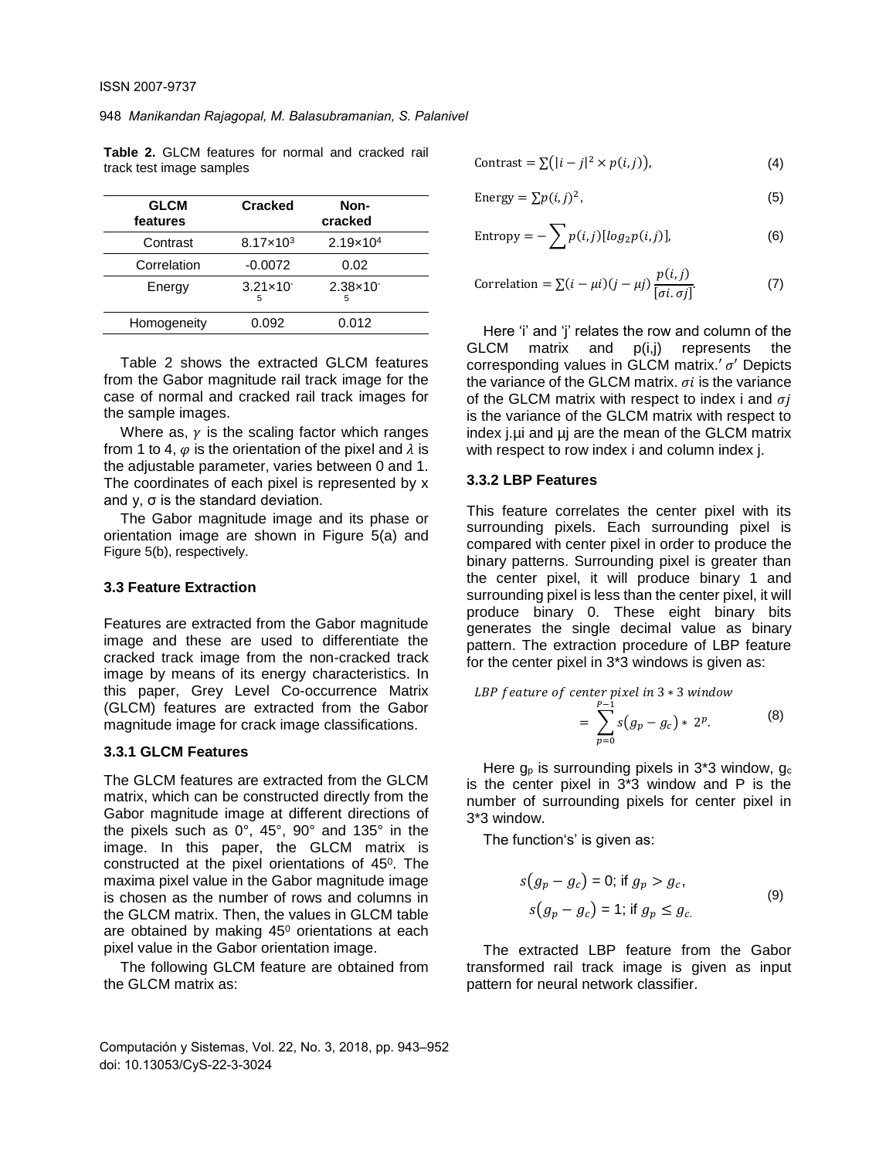| <b>GLCM</b><br>features | <b>Cracked</b>             | Non-<br>cracked            |
|-------------------------|----------------------------|----------------------------|
| Contrast                | $8.17 \times 10^{3}$       | $2.19 \times 10^{4}$       |
| Correlation             | $-0.0072$                  | 0.02                       |
| Energy                  | $3.21 \times 10^{-7}$<br>5 | $2.38 \times 10^{-7}$<br>5 |
| Homogeneity             | 0.092                      | 0.012                      |

**Table 2.** GLCM features for normal and cracked rail track test image samples

Table 2 shows the extracted GLCM features from the Gabor magnitude rail track image for the case of normal and cracked rail track images for the sample images.

Where as,  $\nu$  is the scaling factor which ranges from 1 to 4,  $\varphi$  is the orientation of the pixel and  $\lambda$  is the adjustable parameter, varies between 0 and 1. The coordinates of each pixel is represented by x and y, σ is the standard deviation.

The Gabor magnitude image and its phase or orientation image are shown in Figure 5(a) and Figure 5(b), respectively.

#### **3.3 Feature Extraction**

Features are extracted from the Gabor magnitude image and these are used to differentiate the cracked track image from the non-cracked track image by means of its energy characteristics. In this paper, Grey Level Co-occurrence Matrix (GLCM) features are extracted from the Gabor magnitude image for crack image classifications.

#### **3.3.1 GLCM Features**

The GLCM features are extracted from the GLCM matrix, which can be constructed directly from the Gabor magnitude image at different directions of the pixels such as 0°, 45°, 90° and 135° in the image. In this paper, the GLCM matrix is constructed at the pixel orientations of  $45^{\circ}$ . The maxima pixel value in the Gabor magnitude image is chosen as the number of rows and columns in the GLCM matrix. Then, the values in GLCM table are obtained by making 45<sup>0</sup> orientations at each pixel value in the Gabor orientation image.

The following GLCM feature are obtained from the GLCM matrix as:

$$
Contrast = \sum (|i - j|^2 \times p(i, j)),
$$
\n(4)

Energy = 
$$
\sum p(i, j)^2
$$
, (5)

Entropy = 
$$
-\sum p(i,j) [log_2 p(i,j)],
$$
 (6)

Correlation = 
$$
\sum (i - \mu i)(j - \mu j) \frac{p(i, j)}{[\sigma i, \sigma j]}
$$
. (7)

Here 'i' and 'j' relates the row and column of the GLCM matrix and p(i,j) represents the corresponding values in GLCM matrix. $'$   $\sigma'$  Depicts the variance of the GLCM matrix,  $\sigma i$  is the variance of the GLCM matrix with respect to index i and  $\sigma i$ is the variance of the GLCM matrix with respect to index j.µi and µj are the mean of the GLCM matrix with respect to row index i and column index j.

#### **3.3.2 LBP Features**

This feature correlates the center pixel with its surrounding pixels. Each surrounding pixel is compared with center pixel in order to produce the binary patterns. Surrounding pixel is greater than the center pixel, it will produce binary 1 and surrounding pixel is less than the center pixel, it will produce binary 0. These eight binary bits generates the single decimal value as binary pattern. The extraction procedure of LBP feature for the center pixel in 3\*3 windows is given as:

*LBP feature of center pixel in* 
$$
3 * 3
$$
 *window*

$$
= \sum_{p=0}^{P-1} s(g_p - g_c) * 2^p. \tag{8}
$$

Here  $q_p$  is surrounding pixels in 3\*3 window,  $q_c$ is the center pixel in 3\*3 window and P is the number of surrounding pixels for center pixel in 3\*3 window.

The function's' is given as:

$$
s(g_p - g_c) = 0; \text{ if } g_p > g_c,
$$
  

$$
s(g_p - g_c) = 1; \text{ if } g_p \le g_c.
$$
 (9)

The extracted LBP feature from the Gabor transformed rail track image is given as input pattern for neural network classifier.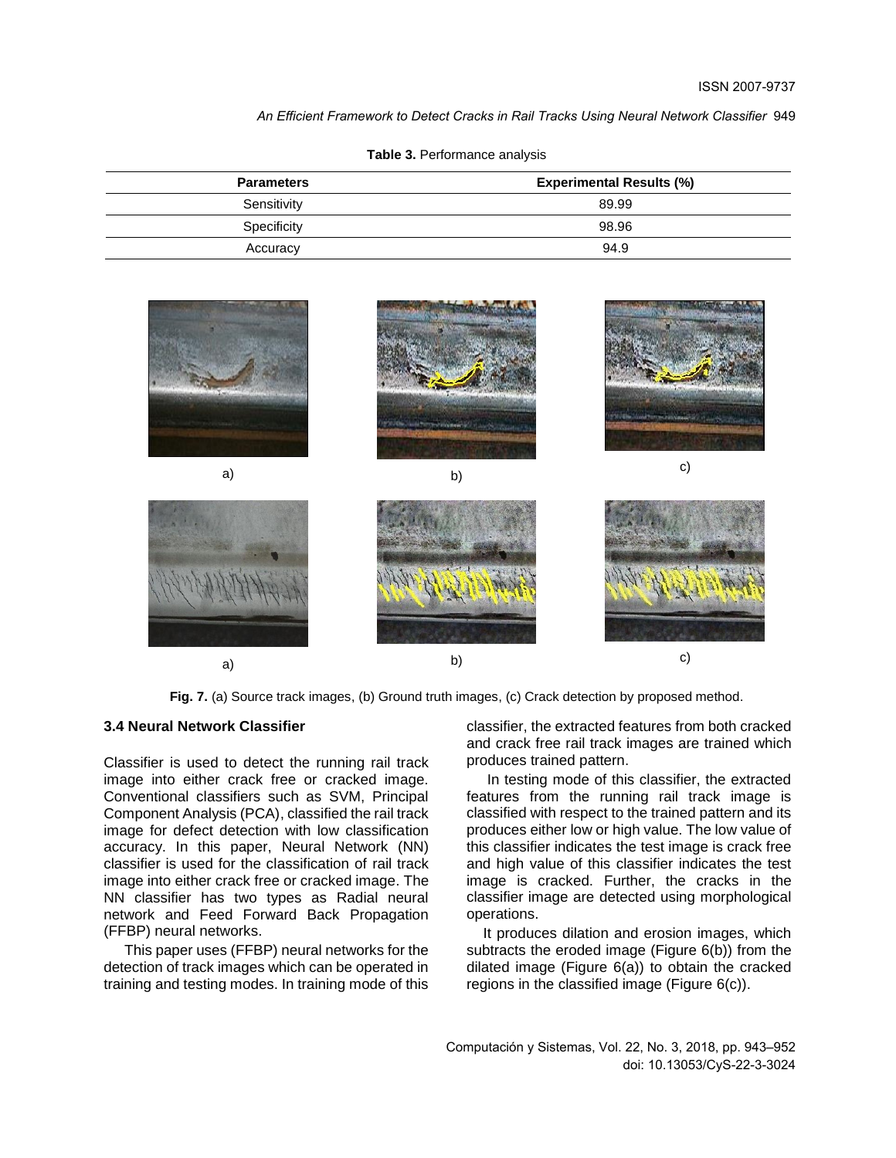*An Efficient Framework to Detect Cracks in Rail Tracks Using Neural Network Classifier* 949

| <b>Parameters</b> | <b>Experimental Results (%)</b> |  |  |
|-------------------|---------------------------------|--|--|
| Sensitivity       | 89.99                           |  |  |
| Specificity       | 98.96                           |  |  |
| Accuracy          | 94.9                            |  |  |

**Table 3.** Performance analysis



Fig. 7. (a) Source track images, (b) Ground truth images, (c) Crack detection by proposed method.

#### **3.4 Neural Network Classifier**

Classifier is used to detect the running rail track image into either crack free or cracked image. Conventional classifiers such as SVM, Principal Component Analysis (PCA), classified the rail track image for defect detection with low classification accuracy. In this paper, Neural Network (NN) classifier is used for the classification of rail track image into either crack free or cracked image. The NN classifier has two types as Radial neural network and Feed Forward Back Propagation (FFBP) neural networks.

This paper uses (FFBP) neural networks for the detection of track images which can be operated in training and testing modes. In training mode of this

classifier, the extracted features from both cracked and crack free rail track images are trained which produces trained pattern.

In testing mode of this classifier, the extracted features from the running rail track image is classified with respect to the trained pattern and its produces either low or high value. The low value of this classifier indicates the test image is crack free and high value of this classifier indicates the test image is cracked. Further, the cracks in the classifier image are detected using morphological operations.

It produces dilation and erosion images, which subtracts the eroded image (Figure 6(b)) from the dilated image (Figure 6(a)) to obtain the cracked regions in the classified image (Figure 6(c)).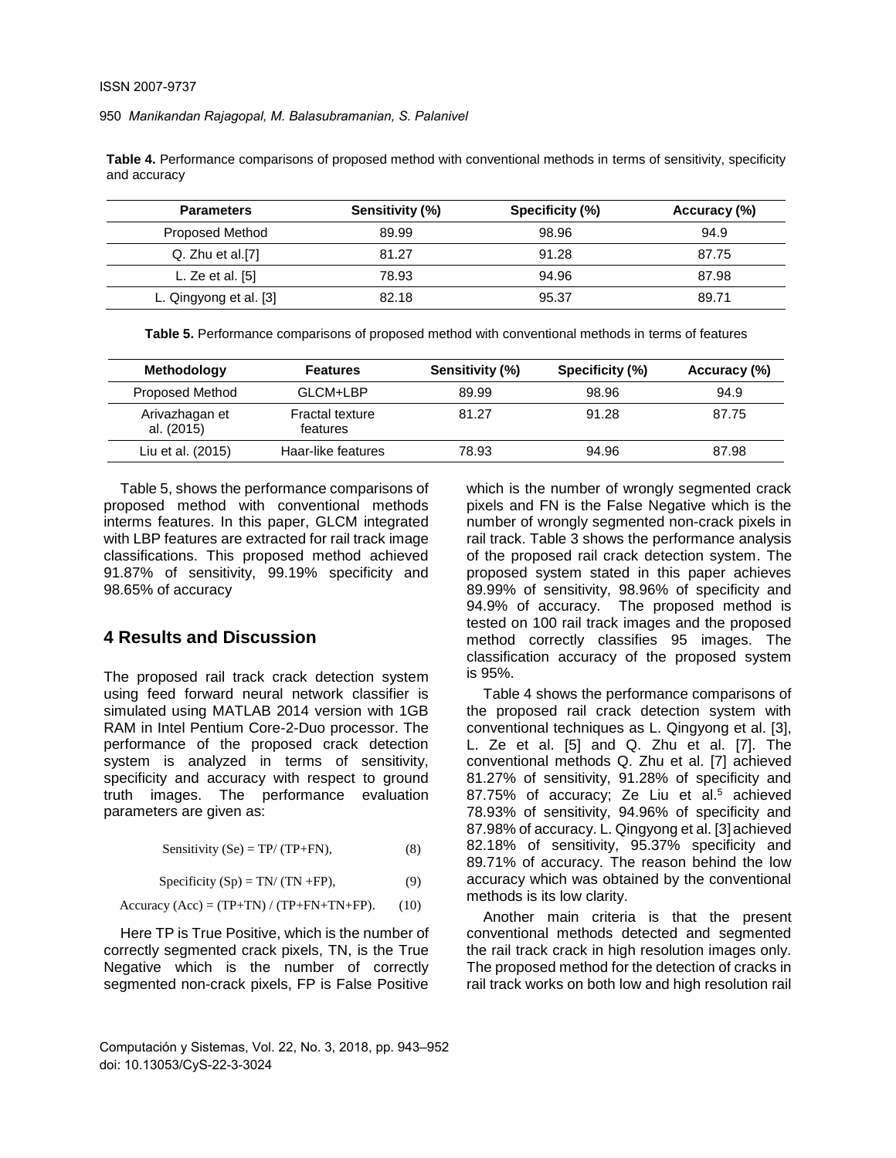**Table 4.** Performance comparisons of proposed method with conventional methods in terms of sensitivity, specificity and accuracy

| <b>Parameters</b>      | Sensitivity (%) | Specificity (%) | Accuracy (%) |
|------------------------|-----------------|-----------------|--------------|
| Proposed Method        | 89.99           | 98.96           | 94.9         |
| Q. Zhu et al.[7]       | 81.27           | 91.28           | 87.75        |
| L. Ze et al. $[5]$     | 78.93           | 94.96           | 87.98        |
| L. Qingyong et al. [3] | 82.18           | 95.37           | 89.71        |

**Table 5.** Performance comparisons of proposed method with conventional methods in terms of features

| Methodology                  | <b>Features</b>                    | Sensitivity (%) | Specificity (%) | Accuracy (%) |
|------------------------------|------------------------------------|-----------------|-----------------|--------------|
| Proposed Method              | GLCM+LBP                           | 89.99           | 98.96           | 94.9         |
| Arivazhagan et<br>al. (2015) | <b>Fractal texture</b><br>features | 81.27           | 91.28           | 87.75        |
| Liu et al. (2015)            | Haar-like features                 | 78.93           | 94.96           | 87.98        |

Table 5, shows the performance comparisons of proposed method with conventional methods interms features. In this paper, GLCM integrated with LBP features are extracted for rail track image classifications. This proposed method achieved 91.87% of sensitivity, 99.19% specificity and 98.65% of accuracy

### **4 Results and Discussion**

The proposed rail track crack detection system using feed forward neural network classifier is simulated using MATLAB 2014 version with 1GB RAM in Intel Pentium Core-2-Duo processor. The performance of the proposed crack detection system is analyzed in terms of sensitivity, specificity and accuracy with respect to ground truth images. The performance evaluation parameters are given as:

Sensitivity (Se) = TP/ (TP+FN), (8)

$$
Specificity (Sp) = TN/(TN + FP), \tag{9}
$$

$$
Accuracy (Acc) = (TP + TN) / (TP + FN + TN + FP).
$$
 (10)

Here TP is True Positive, which is the number of correctly segmented crack pixels, TN, is the True Negative which is the number of correctly segmented non-crack pixels. FP is False Positive

Computación y Sistemas, Vol. 22, No. 3, 2018, pp. 943–952 doi: 10.13053/CyS-22-3-3024

which is the number of wrongly segmented crack pixels and FN is the False Negative which is the number of wrongly segmented non-crack pixels in rail track. Table 3 shows the performance analysis of the proposed rail crack detection system. The proposed system stated in this paper achieves 89.99% of sensitivity, 98.96% of specificity and 94.9% of accuracy. The proposed method is tested on 100 rail track images and the proposed method correctly classifies 95 images. The classification accuracy of the proposed system is 95%.

Table 4 shows the performance comparisons of the proposed rail crack detection system with conventional techniques as L. Qingyong et al. [3], L. Ze et al. [5] and Q. Zhu et al. [7]. The conventional methods Q. Zhu et al. [7] achieved 81.27% of sensitivity, 91.28% of specificity and 87.75% of accuracy; Ze Liu et al.<sup>5</sup> achieved 78.93% of sensitivity, 94.96% of specificity and 87.98% of accuracy. L. Qingyong et al. [3]achieved 82.18% of sensitivity, 95.37% specificity and 89.71% of accuracy. The reason behind the low accuracy which was obtained by the conventional methods is its low clarity.

Another main criteria is that the present conventional methods detected and segmented the rail track crack in high resolution images only. The proposed method for the detection of cracks in rail track works on both low and high resolution rail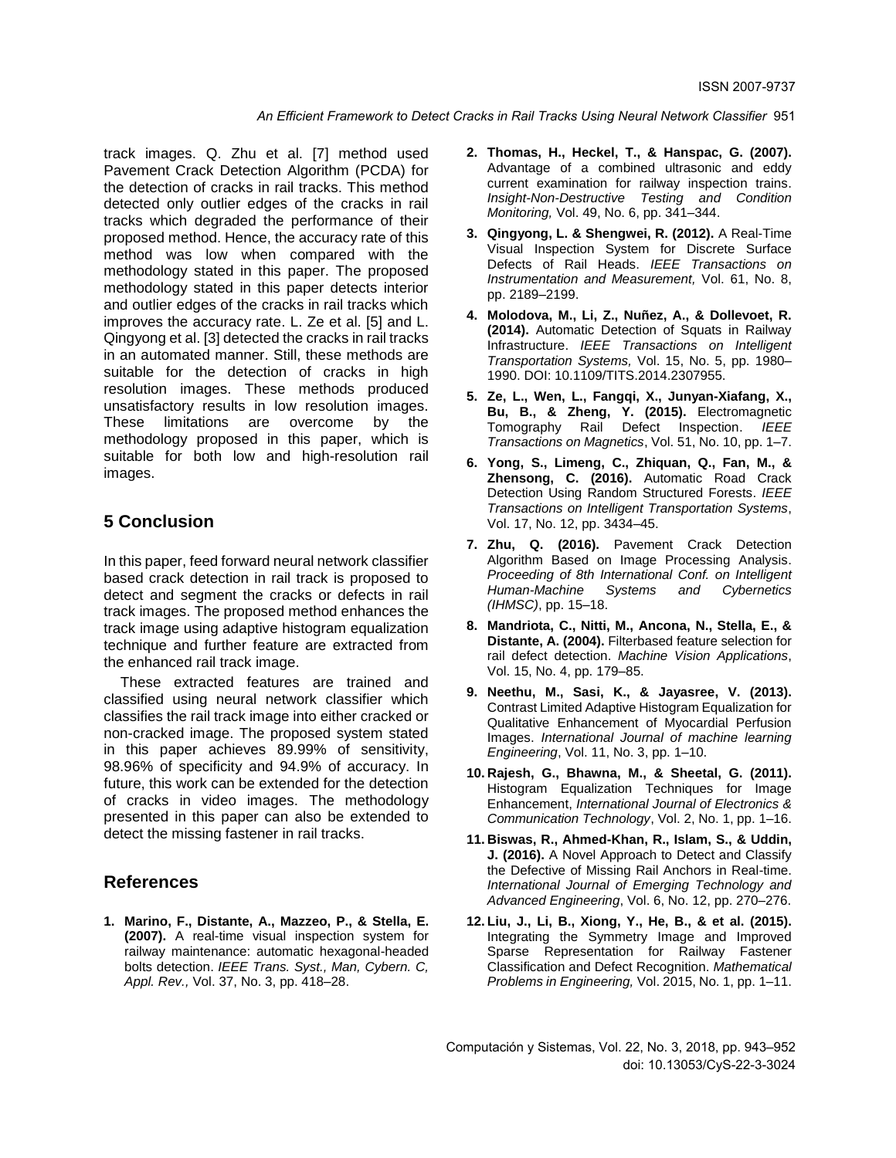track images. Q. Zhu et al. [7] method used Pavement Crack Detection Algorithm (PCDA) for the detection of cracks in rail tracks. This method detected only outlier edges of the cracks in rail tracks which degraded the performance of their proposed method. Hence, the accuracy rate of this method was low when compared with the methodology stated in this paper. The proposed methodology stated in this paper detects interior and outlier edges of the cracks in rail tracks which improves the accuracy rate. L. Ze et al. [5] and L. Qingyong et al. [3] detected the cracks in rail tracks in an automated manner. Still, these methods are suitable for the detection of cracks in high resolution images. These methods produced unsatisfactory results in low resolution images. These limitations are overcome by the methodology proposed in this paper, which is suitable for both low and high-resolution rail images.

### **5 Conclusion**

In this paper, feed forward neural network classifier based crack detection in rail track is proposed to detect and segment the cracks or defects in rail track images. The proposed method enhances the track image using adaptive histogram equalization technique and further feature are extracted from the enhanced rail track image.

These extracted features are trained and classified using neural network classifier which classifies the rail track image into either cracked or non-cracked image. The proposed system stated in this paper achieves 89.99% of sensitivity, 98.96% of specificity and 94.9% of accuracy. In future, this work can be extended for the detection of cracks in video images. The methodology presented in this paper can also be extended to detect the missing fastener in rail tracks.

#### **References**

**1. Marino, F., Distante, A., Mazzeo, P., & Stella, E. (2007).** A real-time visual inspection system for railway maintenance: automatic hexagonal-headed bolts detection. *IEEE Trans. Syst., Man, Cybern. C, Appl. Rev.,* Vol. 37, No. 3, pp. 418–28.

- **2. Thomas, H., Heckel, T., & Hanspac, G. (2007).** Advantage of a combined ultrasonic and eddy current examination for railway inspection trains. *Insight-Non-Destructive Testing and Condition Monitoring,* Vol. 49, No. 6, pp. 341–344.
- **3. Qingyong, L. & Shengwei, R. (2012).** A Real-Time Visual Inspection System for Discrete Surface Defects of Rail Heads. *IEEE Transactions on Instrumentation and Measurement,* Vol. 61, No. 8, pp. 2189–2199.
- **4. Molodova, M., Li, Z., Nuñez, A., & Dollevoet, R. (2014).** Automatic Detection of Squats in Railway Infrastructure. *IEEE Transactions on Intelligent Transportation Systems,* Vol. 15, No. 5, pp. 1980– 1990. DOI: 10.1109/TITS.2014.2307955.
- **5. Ze, L., Wen, L., Fangqi, X., Junyan-Xiafang, X., Bu, B., & Zheng, Y. (2015).** Electromagnetic Tomography Rail Defect Inspection. *IEEE Transactions on Magnetics*, Vol. 51, No. 10, pp. 1–7.
- **6. Yong, S., Limeng, C., Zhiquan, Q., Fan, M., & Zhensong, C. (2016).** Automatic Road Crack Detection Using Random Structured Forests. *IEEE Transactions on Intelligent Transportation Systems*, Vol. 17, No. 12, pp. 3434–45.
- **7. Zhu, Q. (2016).** Pavement Crack Detection Algorithm Based on Image Processing Analysis. *Proceeding of 8th International Conf. on Intelligent Human-Machine Systems and Cybernetics (IHMSC)*, pp. 15–18.
- **8. Mandriota, C., Nitti, M., Ancona, N., Stella, E., & Distante, A. (2004).** Filterbased feature selection for rail defect detection. *Machine Vision Applications*, Vol. 15, No. 4, pp. 179–85.
- **9. Neethu, M., Sasi, K., & Jayasree, V. (2013).** Contrast Limited Adaptive Histogram Equalization for Qualitative Enhancement of Myocardial Perfusion Images. *International Journal of machine learning Engineering*, Vol. 11, No. 3, pp. 1–10.
- **10. Rajesh, G., Bhawna, M., & Sheetal, G. (2011).** Histogram Equalization Techniques for Image Enhancement, *International Journal of Electronics & Communication Technology*, Vol. 2, No. 1, pp. 1–16.
- **11. Biswas, R., Ahmed-Khan, R., Islam, S., & Uddin, J. (2016).** A Novel Approach to Detect and Classify the Defective of Missing Rail Anchors in Real-time. *International Journal of Emerging Technology and Advanced Engineering*, Vol. 6, No. 12, pp. 270–276.
- **12. Liu, J., Li, B., Xiong, Y., He, B., & et al. (2015).** Integrating the Symmetry Image and Improved Sparse Representation for Railway Fastener Classification and Defect Recognition. *Mathematical Problems in Engineering,* Vol. 2015, No. 1, pp. 1–11.